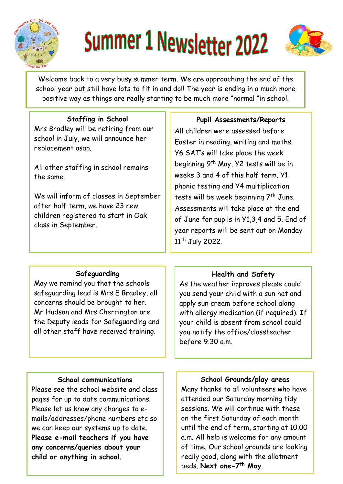

# Summer 1 Newsletter 2022



Welcome back to a very busy summer term. We are approaching the end of the school year but still have lots to fit in and do!! The year is ending in a much more positive way as things are really starting to be much more "normal "in school.

### **Staffing in School**

Mrs Bradley will be retiring from our school in July, we will announce her replacement asap.

All other staffing in school remains the same.

We will inform of classes in September after half term, we have 23 new children registered to start in Oak class in September.

## **Pupil Assessments/Reports**

All children were assessed before Easter in reading, writing and maths. Y6 SAT's will take place the week beginning 9th May, Y2 tests will be in weeks 3 and 4 of this half term. Y1 phonic testing and Y4 multiplication tests will be week beginning 7<sup>th</sup> June. Assessments will take place at the end of June for pupils in Y1,3,4 and 5. End of year reports will be sent out on Monday 11<sup>th</sup> July 2022.

#### **Safeguarding**

May we remind you that the schools safeguarding lead is Mrs E Bradley, all concerns should be brought to her. Mr Hudson and Mrs Cherrington are the Deputy leads for Safeguarding and all other staff have received training.

#### **Health and Safety**

As the weather improves please could you send your child with a sun hat and apply sun cream before school along with allergy medication (if required). If your child is absent from school could you notify the office/classteacher before 9.30 a.m.

#### **School communications**

Please see the school website and class pages for up to date communications. Please let us know any changes to emails/addresses/phone numbers etc so we can keep our systems up to date. **Please e-mail teachers if you have any concerns/queries about your child or anything in school.**

**School Grounds/play areas**

Many thanks to all volunteers who have attended our Saturday morning tidy sessions. We will continue with these on the first Saturday of each month until the end of term, starting at 10.00 a.m. All help is welcome for any amount of time. Our school grounds are looking really good, along with the allotment beds. **Next one-7 th May**.